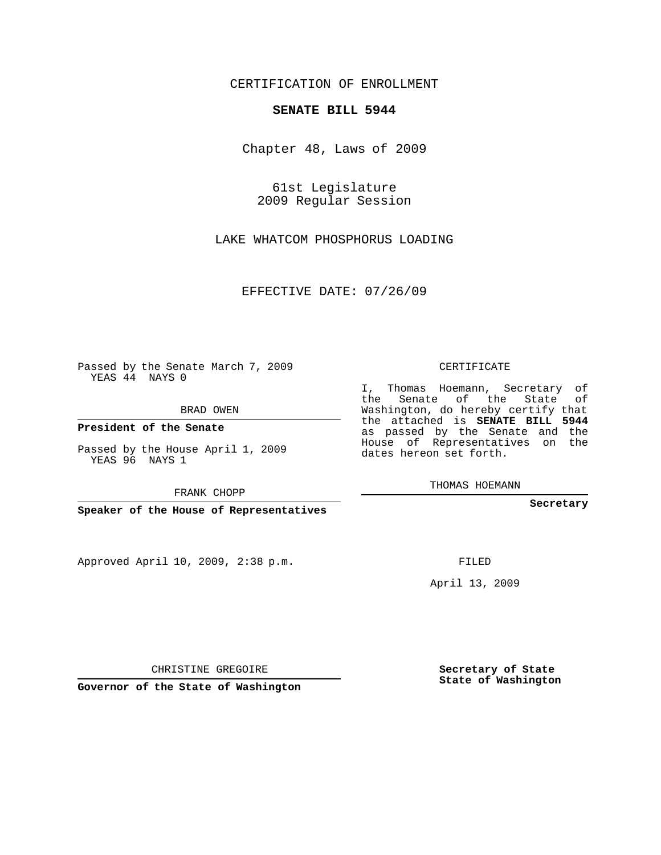## CERTIFICATION OF ENROLLMENT

## **SENATE BILL 5944**

Chapter 48, Laws of 2009

61st Legislature 2009 Regular Session

LAKE WHATCOM PHOSPHORUS LOADING

EFFECTIVE DATE: 07/26/09

Passed by the Senate March 7, 2009 YEAS 44 NAYS 0

BRAD OWEN

**President of the Senate**

Passed by the House April 1, 2009 YEAS 96 NAYS 1

FRANK CHOPP

**Speaker of the House of Representatives**

Approved April 10, 2009, 2:38 p.m.

CERTIFICATE

I, Thomas Hoemann, Secretary of the Senate of the State of Washington, do hereby certify that the attached is **SENATE BILL 5944** as passed by the Senate and the House of Representatives on the dates hereon set forth.

THOMAS HOEMANN

**Secretary**

FILED

April 13, 2009

CHRISTINE GREGOIRE

**Governor of the State of Washington**

**Secretary of State State of Washington**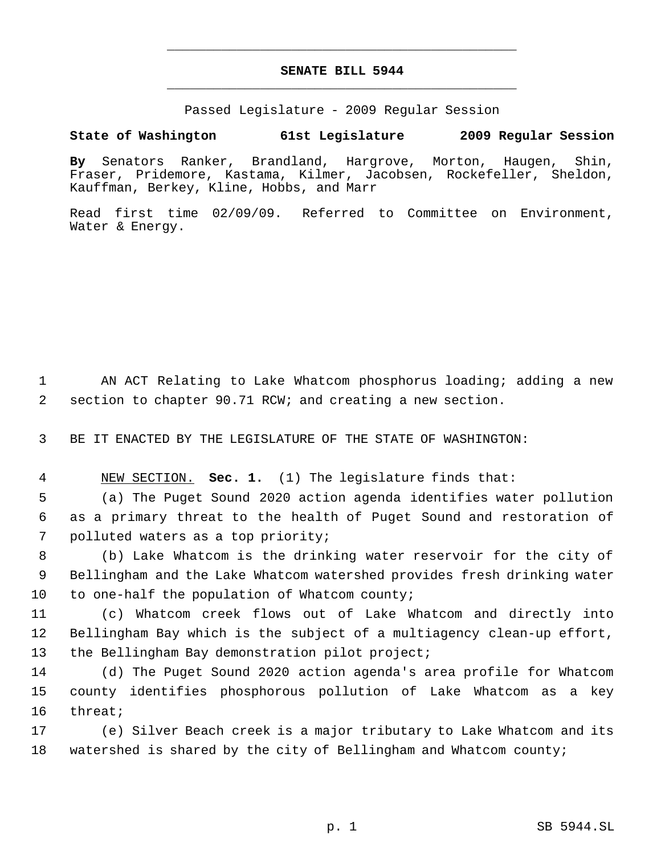## **SENATE BILL 5944** \_\_\_\_\_\_\_\_\_\_\_\_\_\_\_\_\_\_\_\_\_\_\_\_\_\_\_\_\_\_\_\_\_\_\_\_\_\_\_\_\_\_\_\_\_

\_\_\_\_\_\_\_\_\_\_\_\_\_\_\_\_\_\_\_\_\_\_\_\_\_\_\_\_\_\_\_\_\_\_\_\_\_\_\_\_\_\_\_\_\_

Passed Legislature - 2009 Regular Session

## **State of Washington 61st Legislature 2009 Regular Session**

**By** Senators Ranker, Brandland, Hargrove, Morton, Haugen, Shin, Fraser, Pridemore, Kastama, Kilmer, Jacobsen, Rockefeller, Sheldon, Kauffman, Berkey, Kline, Hobbs, and Marr

Read first time 02/09/09. Referred to Committee on Environment, Water & Energy.

 1 AN ACT Relating to Lake Whatcom phosphorus loading; adding a new 2 section to chapter 90.71 RCW; and creating a new section.

3 BE IT ENACTED BY THE LEGISLATURE OF THE STATE OF WASHINGTON:

4 NEW SECTION. **Sec. 1.** (1) The legislature finds that:

 5 (a) The Puget Sound 2020 action agenda identifies water pollution 6 as a primary threat to the health of Puget Sound and restoration of 7 polluted waters as a top priority;

 8 (b) Lake Whatcom is the drinking water reservoir for the city of 9 Bellingham and the Lake Whatcom watershed provides fresh drinking water 10 to one-half the population of Whatcom county;

11 (c) Whatcom creek flows out of Lake Whatcom and directly into 12 Bellingham Bay which is the subject of a multiagency clean-up effort, 13 the Bellingham Bay demonstration pilot project;

14 (d) The Puget Sound 2020 action agenda's area profile for Whatcom 15 county identifies phosphorous pollution of Lake Whatcom as a key 16 threat;

17 (e) Silver Beach creek is a major tributary to Lake Whatcom and its 18 watershed is shared by the city of Bellingham and Whatcom county;